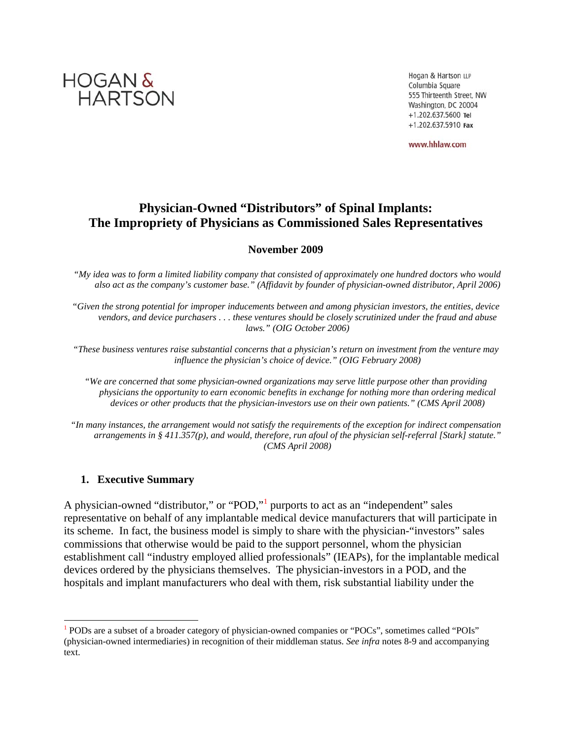

Hogan & Hartson LLP Columbia Square 555 Thirteenth Street, NW Washington, DC 20004 +1.202.637.5600 Tel +1.202.637.5910 Fax

www.hhlaw.com

## **Physician-Owned "Distributors" of Spinal Implants: The Impropriety of Physicians as Commissioned Sales Representatives**

#### **November 2009**

*"My idea was to form a limited liability company that consisted of approximately one hundred doctors who would also act as the company's customer base." (Affidavit by founder of physician-owned distributor, April 2006)* 

*"Given the strong potential for improper inducements between and among physician investors, the entities, device vendors, and device purchasers . . . these ventures should be closely scrutinized under the fraud and abuse laws." (OIG October 2006)*

*"These business ventures raise substantial concerns that a physician's return on investment from the venture may influence the physician's choice of device." (OIG February 2008)* 

*"We are concerned that some physician-owned organizations may serve little purpose other than providing physicians the opportunity to earn economic benefits in exchange for nothing more than ordering medical*  devices or other products that the physician-investors use on their own patients." (CMS April 2008)

*"In many instances, the arrangement would not satisfy the requirements of the exception for indirect compensation arrangements in § 411.357(p), and would, therefore, run afoul of the physician self-referral [Stark] statute." (CMS April 2008)*

#### **1. Executive Summary**

l

A physician-owned "distributor," or "POD," purports to act as an "independent" sales representative on behalf of any implantable medical device manufacturers that will participate in its scheme. In fact, the business model is simply to share with the physician-"investors" sales commissions that otherwise would be paid to the support personnel, whom the physician establishment call "industry employed allied professionals" (IEAPs), for the implantable medical devices ordered by the physicians themselves. The physician-investors in a POD, and the hospitals and implant manufacturers who deal with them, risk substantial liability under the

<sup>&</sup>lt;sup>1</sup> PODs are a subset of a broader category of physician-owned companies or "POCs", sometimes called "POIs" (physician-owned intermediaries) in recognition of their middleman status. *See infra* notes 8-9 and accompanying text.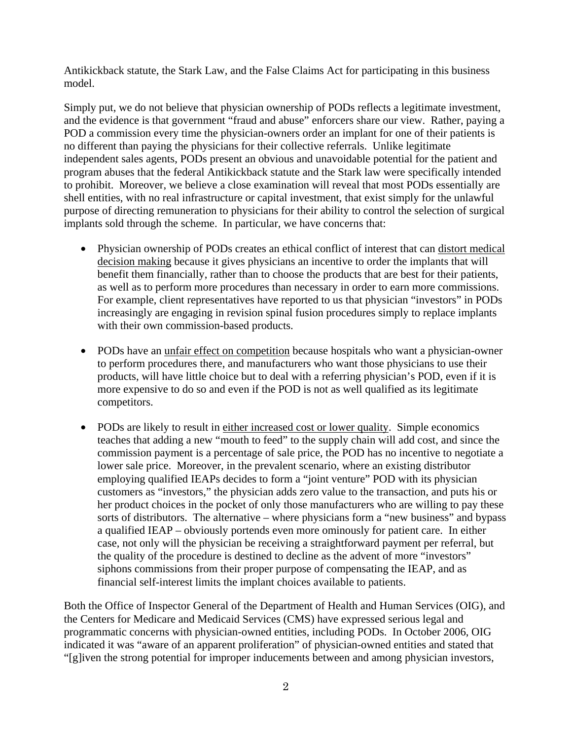Antikickback statute, the Stark Law, and the False Claims Act for participating in this business model.

Simply put, we do not believe that physician ownership of PODs reflects a legitimate investment, and the evidence is that government "fraud and abuse" enforcers share our view. Rather, paying a POD a commission every time the physician-owners order an implant for one of their patients is no different than paying the physicians for their collective referrals. Unlike legitimate independent sales agents, PODs present an obvious and unavoidable potential for the patient and program abuses that the federal Antikickback statute and the Stark law were specifically intended to prohibit. Moreover, we believe a close examination will reveal that most PODs essentially are shell entities, with no real infrastructure or capital investment, that exist simply for the unlawful purpose of directing remuneration to physicians for their ability to control the selection of surgical implants sold through the scheme. In particular, we have concerns that:

- Physician ownership of PODs creates an ethical conflict of interest that can distort medical decision making because it gives physicians an incentive to order the implants that will benefit them financially, rather than to choose the products that are best for their patients, as well as to perform more procedures than necessary in order to earn more commissions. For example, client representatives have reported to us that physician "investors" in PODs increasingly are engaging in revision spinal fusion procedures simply to replace implants with their own commission-based products.
- PODs have an unfair effect on competition because hospitals who want a physician-owner to perform procedures there, and manufacturers who want those physicians to use their products, will have little choice but to deal with a referring physician's POD, even if it is more expensive to do so and even if the POD is not as well qualified as its legitimate competitors.
- PODs are likely to result in either increased cost or lower quality. Simple economics teaches that adding a new "mouth to feed" to the supply chain will add cost, and since the commission payment is a percentage of sale price, the POD has no incentive to negotiate a lower sale price. Moreover, in the prevalent scenario, where an existing distributor employing qualified IEAPs decides to form a "joint venture" POD with its physician customers as "investors," the physician adds zero value to the transaction, and puts his or her product choices in the pocket of only those manufacturers who are willing to pay these sorts of distributors. The alternative – where physicians form a "new business" and bypass a qualified IEAP – obviously portends even more ominously for patient care. In either case, not only will the physician be receiving a straightforward payment per referral, but the quality of the procedure is destined to decline as the advent of more "investors" siphons commissions from their proper purpose of compensating the IEAP, and as financial self-interest limits the implant choices available to patients.

Both the Office of Inspector General of the Department of Health and Human Services (OIG), and the Centers for Medicare and Medicaid Services (CMS) have expressed serious legal and programmatic concerns with physician-owned entities, including PODs. In October 2006, OIG indicated it was "aware of an apparent proliferation" of physician-owned entities and stated that "[g]iven the strong potential for improper inducements between and among physician investors,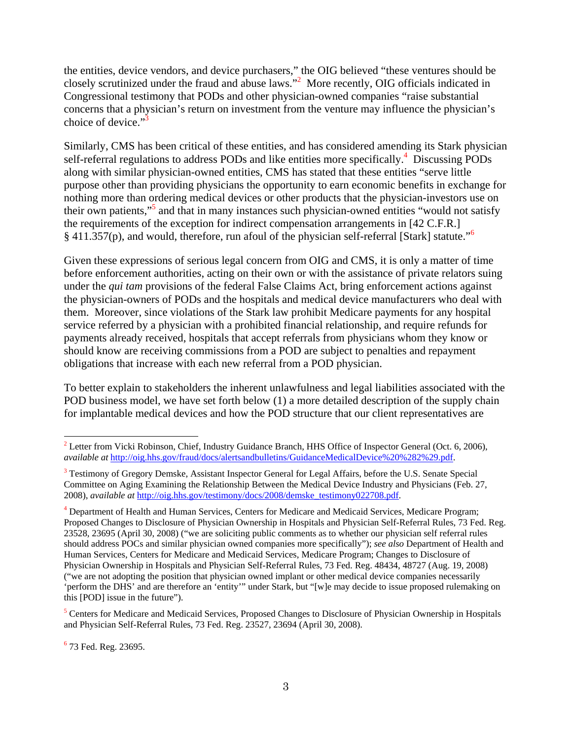the entities, device vendors, and device purchasers," the OIG believed "these ventures should be closely scrutinized under the fraud and abuse laws."2 More recently, OIG officials indicated in Congressional testimony that PODs and other physician-owned companies "raise substantial concerns that a physician's return on investment from the venture may influence the physician's choice of device." $3$ 

Similarly, CMS has been critical of these entities, and has considered amending its Stark physician self-referral regulations to address PODs and like entities more specifically.<sup>4</sup> Discussing PODs along with similar physician-owned entities, CMS has stated that these entities "serve little purpose other than providing physicians the opportunity to earn economic benefits in exchange for nothing more than ordering medical devices or other products that the physician-investors use on their own patients,"<sup>5</sup> and that in many instances such physician-owned entities "would not satisfy the requirements of the exception for indirect compensation arrangements in [42 C.F.R.] § 411.357(p), and would, therefore, run afoul of the physician self-referral [Stark] statute."<sup>6</sup>

Given these expressions of serious legal concern from OIG and CMS, it is only a matter of time before enforcement authorities, acting on their own or with the assistance of private relators suing under the *qui tam* provisions of the federal False Claims Act, bring enforcement actions against the physician-owners of PODs and the hospitals and medical device manufacturers who deal with them. Moreover, since violations of the Stark law prohibit Medicare payments for any hospital service referred by a physician with a prohibited financial relationship, and require refunds for payments already received, hospitals that accept referrals from physicians whom they know or should know are receiving commissions from a POD are subject to penalties and repayment obligations that increase with each new referral from a POD physician.

To better explain to stakeholders the inherent unlawfulness and legal liabilities associated with the POD business model, we have set forth below (1) a more detailed description of the supply chain for implantable medical devices and how the POD structure that our client representatives are

<sup>5</sup> Centers for Medicare and Medicaid Services, Proposed Changes to Disclosure of Physician Ownership in Hospitals and Physician Self-Referral Rules, 73 Fed. Reg. 23527, 23694 (April 30, 2008).

<sup>6</sup> 73 Fed. Reg. 23695.

 $2^2$  Letter from Vicki Robinson, Chief, Industry Guidance Branch, HHS Office of Inspector General (Oct. 6, 2006), *available at* http://oig.hhs.gov/fraud/docs/alertsandbulletins/GuidanceMedicalDevice%20%282%29.pdf.

<sup>&</sup>lt;sup>3</sup> Testimony of Gregory Demske, Assistant Inspector General for Legal Affairs, before the U.S. Senate Special Committee on Aging Examining the Relationship Between the Medical Device Industry and Physicians (Feb. 27, 2008), *available at* http://oig.hhs.gov/testimony/docs/2008/demske\_testimony022708.pdf.

<sup>&</sup>lt;sup>4</sup> Department of Health and Human Services, Centers for Medicare and Medicaid Services, Medicare Program; Proposed Changes to Disclosure of Physician Ownership in Hospitals and Physician Self-Referral Rules, 73 Fed. Reg. 23528, 23695 (April 30, 2008) ("we are soliciting public comments as to whether our physician self referral rules should address POCs and similar physician owned companies more specifically"); *see also* Department of Health and Human Services, Centers for Medicare and Medicaid Services, Medicare Program; Changes to Disclosure of Physician Ownership in Hospitals and Physician Self-Referral Rules, 73 Fed. Reg. 48434, 48727 (Aug. 19, 2008) ("we are not adopting the position that physician owned implant or other medical device companies necessarily 'perform the DHS' and are therefore an 'entity'" under Stark, but "[w]e may decide to issue proposed rulemaking on this [POD] issue in the future").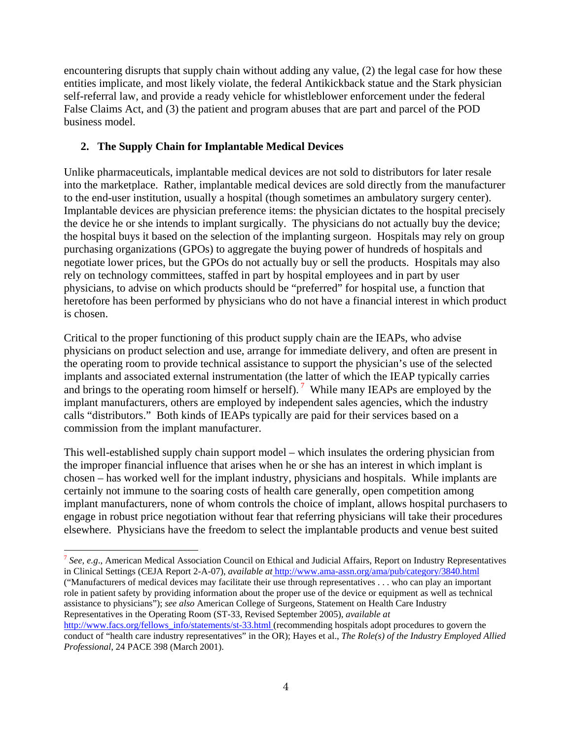encountering disrupts that supply chain without adding any value, (2) the legal case for how these entities implicate, and most likely violate, the federal Antikickback statue and the Stark physician self-referral law, and provide a ready vehicle for whistleblower enforcement under the federal False Claims Act, and (3) the patient and program abuses that are part and parcel of the POD business model.

## **2. The Supply Chain for Implantable Medical Devices**

l

Unlike pharmaceuticals, implantable medical devices are not sold to distributors for later resale into the marketplace. Rather, implantable medical devices are sold directly from the manufacturer to the end-user institution, usually a hospital (though sometimes an ambulatory surgery center). Implantable devices are physician preference items: the physician dictates to the hospital precisely the device he or she intends to implant surgically. The physicians do not actually buy the device; the hospital buys it based on the selection of the implanting surgeon. Hospitals may rely on group purchasing organizations (GPOs) to aggregate the buying power of hundreds of hospitals and negotiate lower prices, but the GPOs do not actually buy or sell the products. Hospitals may also rely on technology committees, staffed in part by hospital employees and in part by user physicians, to advise on which products should be "preferred" for hospital use, a function that heretofore has been performed by physicians who do not have a financial interest in which product is chosen.

Critical to the proper functioning of this product supply chain are the IEAPs, who advise physicians on product selection and use, arrange for immediate delivery, and often are present in the operating room to provide technical assistance to support the physician's use of the selected implants and associated external instrumentation (the latter of which the IEAP typically carries and brings to the operating room himself or herself). 7 While many IEAPs are employed by the implant manufacturers, others are employed by independent sales agencies, which the industry calls "distributors." Both kinds of IEAPs typically are paid for their services based on a commission from the implant manufacturer.

This well-established supply chain support model – which insulates the ordering physician from the improper financial influence that arises when he or she has an interest in which implant is chosen – has worked well for the implant industry, physicians and hospitals. While implants are certainly not immune to the soaring costs of health care generally, open competition among implant manufacturers, none of whom controls the choice of implant, allows hospital purchasers to engage in robust price negotiation without fear that referring physicians will take their procedures elsewhere. Physicians have the freedom to select the implantable products and venue best suited

<sup>7</sup> *See, e.g*., American Medical Association Council on Ethical and Judicial Affairs, Report on Industry Representatives in Clinical Settings (CEJA Report 2-A-07), *available at* http://www.ama-assn.org/ama/pub/category/3840.html ("Manufacturers of medical devices may facilitate their use through representatives . . . who can play an important role in patient safety by providing information about the proper use of the device or equipment as well as technical assistance to physicians"); *see also* American College of Surgeons, Statement on Health Care Industry Representatives in the Operating Room (ST-33, Revised September 2005), *available at* http://www.facs.org/fellows\_info/statements/st-33.html (recommending hospitals adopt procedures to govern the conduct of "health care industry representatives" in the OR); Hayes et al., *The Role(s) of the Industry Employed Allied Professional*, 24 PACE 398 (March 2001).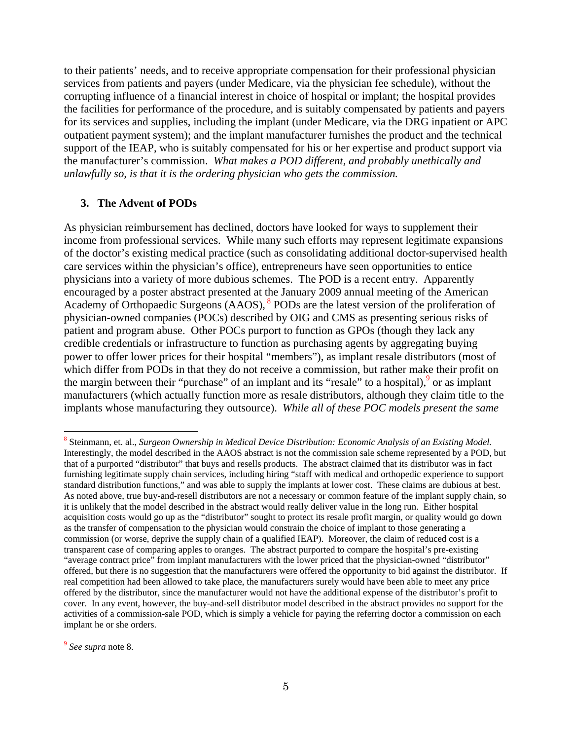to their patients' needs, and to receive appropriate compensation for their professional physician services from patients and payers (under Medicare, via the physician fee schedule), without the corrupting influence of a financial interest in choice of hospital or implant; the hospital provides the facilities for performance of the procedure, and is suitably compensated by patients and payers for its services and supplies, including the implant (under Medicare, via the DRG inpatient or APC outpatient payment system); and the implant manufacturer furnishes the product and the technical support of the IEAP, who is suitably compensated for his or her expertise and product support via the manufacturer's commission. *What makes a POD different, and probably unethically and unlawfully so, is that it is the ordering physician who gets the commission.*

#### **3. The Advent of PODs**

As physician reimbursement has declined, doctors have looked for ways to supplement their income from professional services. While many such efforts may represent legitimate expansions of the doctor's existing medical practice (such as consolidating additional doctor-supervised health care services within the physician's office), entrepreneurs have seen opportunities to entice physicians into a variety of more dubious schemes. The POD is a recent entry. Apparently encouraged by a poster abstract presented at the January 2009 annual meeting of the American Academy of Orthopaedic Surgeons (AAOS), <sup>8</sup> PODs are the latest version of the proliferation of physician-owned companies (POCs) described by OIG and CMS as presenting serious risks of patient and program abuse. Other POCs purport to function as GPOs (though they lack any credible credentials or infrastructure to function as purchasing agents by aggregating buying power to offer lower prices for their hospital "members"), as implant resale distributors (most of which differ from PODs in that they do not receive a commission, but rather make their profit on the margin between their "purchase" of an implant and its "resale" to a hospital),  $9$  or as implant manufacturers (which actually function more as resale distributors, although they claim title to the implants whose manufacturing they outsource). *While all of these POC models present the same* 

<sup>9</sup> *See supra* note 8.

<sup>8</sup> Steinmann, et. al., *Surgeon Ownership in Medical Device Distribution: Economic Analysis of an Existing Model.* Interestingly, the model described in the AAOS abstract is not the commission sale scheme represented by a POD, but that of a purported "distributor" that buys and resells products. The abstract claimed that its distributor was in fact furnishing legitimate supply chain services, including hiring "staff with medical and orthopedic experience to support standard distribution functions," and was able to supply the implants at lower cost. These claims are dubious at best. As noted above, true buy-and-resell distributors are not a necessary or common feature of the implant supply chain, so it is unlikely that the model described in the abstract would really deliver value in the long run. Either hospital acquisition costs would go up as the "distributor" sought to protect its resale profit margin, or quality would go down as the transfer of compensation to the physician would constrain the choice of implant to those generating a commission (or worse, deprive the supply chain of a qualified IEAP). Moreover, the claim of reduced cost is a transparent case of comparing apples to oranges. The abstract purported to compare the hospital's pre-existing "average contract price" from implant manufacturers with the lower priced that the physician-owned "distributor" offered, but there is no suggestion that the manufacturers were offered the opportunity to bid against the distributor. If real competition had been allowed to take place, the manufacturers surely would have been able to meet any price offered by the distributor, since the manufacturer would not have the additional expense of the distributor's profit to cover. In any event, however, the buy-and-sell distributor model described in the abstract provides no support for the activities of a commission-sale POD, which is simply a vehicle for paying the referring doctor a commission on each implant he or she orders.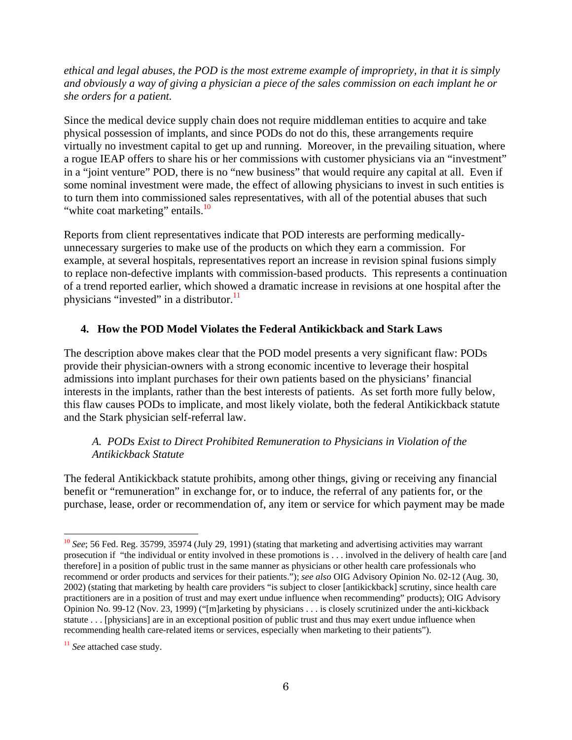*ethical and legal abuses, the POD is the most extreme example of impropriety, in that it is simply and obviously a way of giving a physician a piece of the sales commission on each implant he or she orders for a patient.*

Since the medical device supply chain does not require middleman entities to acquire and take physical possession of implants, and since PODs do not do this, these arrangements require virtually no investment capital to get up and running. Moreover, in the prevailing situation, where a rogue IEAP offers to share his or her commissions with customer physicians via an "investment" in a "joint venture" POD, there is no "new business" that would require any capital at all. Even if some nominal investment were made, the effect of allowing physicians to invest in such entities is to turn them into commissioned sales representatives, with all of the potential abuses that such "white coat marketing" entails.<sup>10</sup>

Reports from client representatives indicate that POD interests are performing medicallyunnecessary surgeries to make use of the products on which they earn a commission. For example, at several hospitals, representatives report an increase in revision spinal fusions simply to replace non-defective implants with commission-based products. This represents a continuation of a trend reported earlier, which showed a dramatic increase in revisions at one hospital after the physicians "invested" in a distributor. $11$ 

#### **4. How the POD Model Violates the Federal Antikickback and Stark Laws**

The description above makes clear that the POD model presents a very significant flaw: PODs provide their physician-owners with a strong economic incentive to leverage their hospital admissions into implant purchases for their own patients based on the physicians' financial interests in the implants, rather than the best interests of patients. As set forth more fully below, this flaw causes PODs to implicate, and most likely violate, both the federal Antikickback statute and the Stark physician self-referral law.

#### *A. PODs Exist to Direct Prohibited Remuneration to Physicians in Violation of the Antikickback Statute*

The federal Antikickback statute prohibits, among other things, giving or receiving any financial benefit or "remuneration" in exchange for, or to induce, the referral of any patients for, or the purchase, lease, order or recommendation of, any item or service for which payment may be made

<sup>&</sup>lt;sup>10</sup> *See*; 56 Fed. Reg. 35799, 35974 (July 29, 1991) (stating that marketing and advertising activities may warrant prosecution if "the individual or entity involved in these promotions is . . . involved in the delivery of health care [and therefore] in a position of public trust in the same manner as physicians or other health care professionals who recommend or order products and services for their patients."); *see also* OIG Advisory Opinion No. 02-12 (Aug. 30, 2002) (stating that marketing by health care providers "is subject to closer [antikickback] scrutiny, since health care practitioners are in a position of trust and may exert undue influence when recommending" products); OIG Advisory Opinion No. 99-12 (Nov. 23, 1999) ("[m]arketing by physicians . . . is closely scrutinized under the anti-kickback statute . . . [physicians] are in an exceptional position of public trust and thus may exert undue influence when recommending health care-related items or services, especially when marketing to their patients").

<sup>&</sup>lt;sup>11</sup> See attached case study.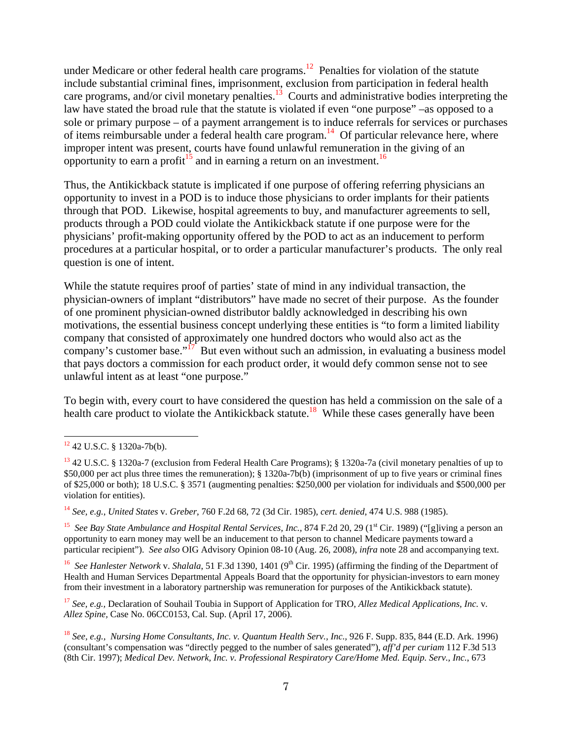under Medicare or other federal health care programs.<sup>12</sup> Penalties for violation of the statute include substantial criminal fines, imprisonment, exclusion from participation in federal health care programs, and/or civil monetary penalties.<sup>13</sup> Courts and administrative bodies interpreting the law have stated the broad rule that the statute is violated if even "one purpose" –as opposed to a sole or primary purpose – of a payment arrangement is to induce referrals for services or purchases of items reimbursable under a federal health care program.<sup>14</sup> Of particular relevance here, where improper intent was present, courts have found unlawful remuneration in the giving of an opportunity to earn a profit<sup>15</sup> and in earning a return on an investment.<sup>16</sup>

Thus, the Antikickback statute is implicated if one purpose of offering referring physicians an opportunity to invest in a POD is to induce those physicians to order implants for their patients through that POD. Likewise, hospital agreements to buy, and manufacturer agreements to sell, products through a POD could violate the Antikickback statute if one purpose were for the physicians' profit-making opportunity offered by the POD to act as an inducement to perform procedures at a particular hospital, or to order a particular manufacturer's products. The only real question is one of intent.

While the statute requires proof of parties' state of mind in any individual transaction, the physician-owners of implant "distributors" have made no secret of their purpose. As the founder of one prominent physician-owned distributor baldly acknowledged in describing his own motivations, the essential business concept underlying these entities is "to form a limited liability company that consisted of approximately one hundred doctors who would also act as the company's customer base."<sup>17</sup> But even without such an admission, in evaluating a business model that pays doctors a commission for each product order, it would defy common sense not to see unlawful intent as at least "one purpose."

To begin with, every court to have considered the question has held a commission on the sale of a health care product to violate the Antikickback statute.<sup>18</sup> While these cases generally have been

l

<sup>15</sup> See Bay State Ambulance and Hospital Rental Services, Inc., 874 F.2d 20, 29 (1<sup>st</sup> Cir. 1989) ("[g]iving a person an opportunity to earn money may well be an inducement to that person to channel Medicare payments toward a particular recipient"). *See also* OIG Advisory Opinion 08-10 (Aug. 26, 2008), *infra* note 28 and accompanying text.

<sup>16</sup> See Hanlester Network v. Shalala, 51 F.3d 1390, 1401 (9<sup>th</sup> Cir. 1995) (affirming the finding of the Department of Health and Human Services Departmental Appeals Board that the opportunity for physician-investors to earn money from their investment in a laboratory partnership was remuneration for purposes of the Antikickback statute).

<sup>17</sup> *See, e.g.,* Declaration of Souhail Toubia in Support of Application for TRO, *Allez Medical Applications, Inc.* v*. Allez Spine,* Case No. 06CC0153, Cal. Sup. (April 17, 2006).

<sup>12 42</sup> U.S.C. § 1320a-7b(b).

<sup>13 42</sup> U.S.C. § 1320a-7 (exclusion from Federal Health Care Programs); § 1320a-7a (civil monetary penalties of up to \$50,000 per act plus three times the remuneration); § 1320a-7b(b) (imprisonment of up to five years or criminal fines of \$25,000 or both); 18 U.S.C. § 3571 (augmenting penalties: \$250,000 per violation for individuals and \$500,000 per violation for entities).

<sup>14</sup> *See, e.g.*, *United States* v. *Greber*, 760 F.2d 68, 72 (3d Cir. 1985), *cert. denied*, 474 U.S. 988 (1985).

<sup>18</sup> *See, e.g., Nursing Home Consultants, Inc. v. Quantum Health Serv., Inc.,* 926 F. Supp. 835, 844 (E.D. Ark. 1996) (consultant's compensation was "directly pegged to the number of sales generated"), *aff'd per curiam* 112 F.3d 513 (8th Cir. 1997); *Medical Dev. Network, Inc. v. Professional Respiratory Care/Home Med. Equip. Serv., Inc.*, 673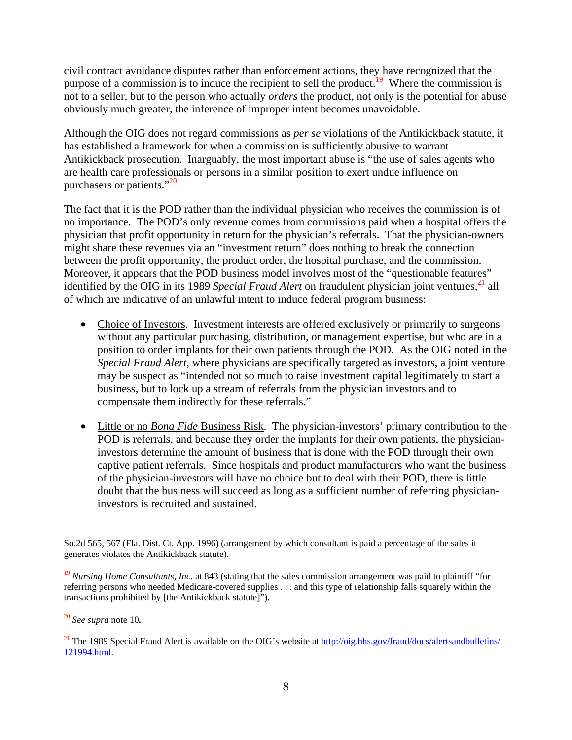civil contract avoidance disputes rather than enforcement actions, they have recognized that the purpose of a commission is to induce the recipient to sell the product.<sup>19</sup> Where the commission is not to a seller, but to the person who actually *orders* the product, not only is the potential for abuse obviously much greater, the inference of improper intent becomes unavoidable.

Although the OIG does not regard commissions as *per se* violations of the Antikickback statute, it has established a framework for when a commission is sufficiently abusive to warrant Antikickback prosecution. Inarguably, the most important abuse is "the use of sales agents who are health care professionals or persons in a similar position to exert undue influence on purchasers or patients."<sup>20</sup>

The fact that it is the POD rather than the individual physician who receives the commission is of no importance. The POD's only revenue comes from commissions paid when a hospital offers the physician that profit opportunity in return for the physician's referrals. That the physician-owners might share these revenues via an "investment return" does nothing to break the connection between the profit opportunity, the product order, the hospital purchase, and the commission. Moreover, it appears that the POD business model involves most of the "questionable features" identified by the OIG in its 1989 *Special Fraud Alert* on fraudulent physician joint ventures,<sup>21</sup> all of which are indicative of an unlawful intent to induce federal program business:

- Choice of Investors. Investment interests are offered exclusively or primarily to surgeons without any particular purchasing, distribution, or management expertise, but who are in a position to order implants for their own patients through the POD. As the OIG noted in the *Special Fraud Alert*, where physicians are specifically targeted as investors, a joint venture may be suspect as "intended not so much to raise investment capital legitimately to start a business, but to lock up a stream of referrals from the physician investors and to compensate them indirectly for these referrals."
- Little or no *Bona Fide* Business Risk. The physician-investors' primary contribution to the POD is referrals, and because they order the implants for their own patients, the physicianinvestors determine the amount of business that is done with the POD through their own captive patient referrals. Since hospitals and product manufacturers who want the business of the physician-investors will have no choice but to deal with their POD, there is little doubt that the business will succeed as long as a sufficient number of referring physicianinvestors is recruited and sustained.

So.2d 565, 567 (Fla. Dist. Ct. App. 1996) (arrangement by which consultant is paid a percentage of the sales it generates violates the Antikickback statute).

<sup>&</sup>lt;sup>19</sup> *Nursing Home Consultants, Inc.* at 843 (stating that the sales commission arrangement was paid to plaintiff "for referring persons who needed Medicare-covered supplies . . . and this type of relationship falls squarely within the transactions prohibited by [the Antikickback statute]").

<sup>20</sup> *See supra* note 10*.* 

<sup>&</sup>lt;sup>21</sup> The 1989 Special Fraud Alert is available on the OIG's website at http://oig.hhs.gov/fraud/docs/alertsandbulletins/ 121994.html.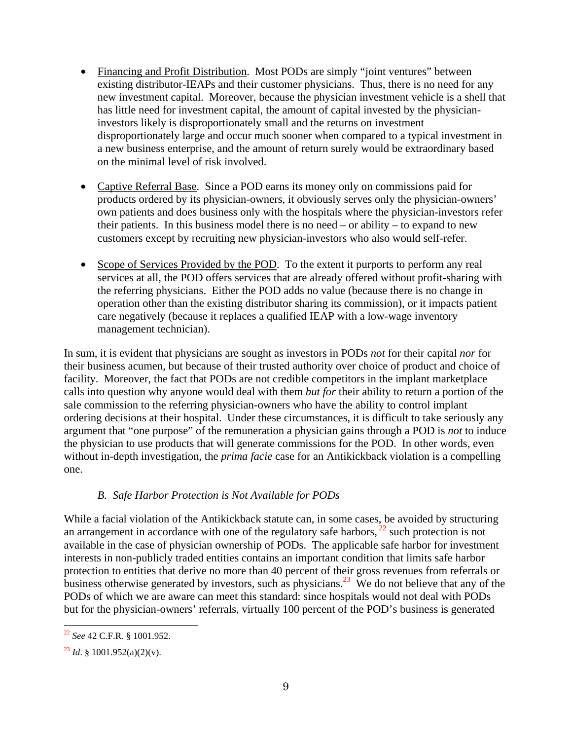- Financing and Profit Distribution. Most PODs are simply "joint ventures" between existing distributor-IEAPs and their customer physicians. Thus, there is no need for any new investment capital. Moreover, because the physician investment vehicle is a shell that has little need for investment capital, the amount of capital invested by the physicianinvestors likely is disproportionately small and the returns on investment disproportionately large and occur much sooner when compared to a typical investment in a new business enterprise, and the amount of return surely would be extraordinary based on the minimal level of risk involved.
- Captive Referral Base. Since a POD earns its money only on commissions paid for products ordered by its physician-owners, it obviously serves only the physician-owners' own patients and does business only with the hospitals where the physician-investors refer their patients. In this business model there is no need – or ability – to expand to new customers except by recruiting new physician-investors who also would self-refer.
- Scope of Services Provided by the POD. To the extent it purports to perform any real services at all, the POD offers services that are already offered without profit-sharing with the referring physicians. Either the POD adds no value (because there is no change in operation other than the existing distributor sharing its commission), or it impacts patient care negatively (because it replaces a qualified IEAP with a low-wage inventory management technician).

In sum, it is evident that physicians are sought as investors in PODs *not* for their capital *nor* for their business acumen, but because of their trusted authority over choice of product and choice of facility. Moreover, the fact that PODs are not credible competitors in the implant marketplace calls into question why anyone would deal with them *but for* their ability to return a portion of the sale commission to the referring physician-owners who have the ability to control implant ordering decisions at their hospital. Under these circumstances, it is difficult to take seriously any argument that "one purpose" of the remuneration a physician gains through a POD is *not* to induce the physician to use products that will generate commissions for the POD. In other words, even without in-depth investigation, the *prima facie* case for an Antikickback violation is a compelling one.

## *B. Safe Harbor Protection is Not Available for PODs*

While a facial violation of the Antikickback statute can, in some cases, be avoided by structuring an arrangement in accordance with one of the regulatory safe harbors,  $^{22}$  such protection is not available in the case of physician ownership of PODs. The applicable safe harbor for investment interests in non-publicly traded entities contains an important condition that limits safe harbor protection to entities that derive no more than 40 percent of their gross revenues from referrals or business otherwise generated by investors, such as physicians.<sup>23</sup> We do not believe that any of the PODs of which we are aware can meet this standard: since hospitals would not deal with PODs but for the physician-owners' referrals, virtually 100 percent of the POD's business is generated

l <sup>22</sup> *See* 42 C.F.R. § 1001.952.

 $^{23}$  *Id.* § 1001.952(a)(2)(v).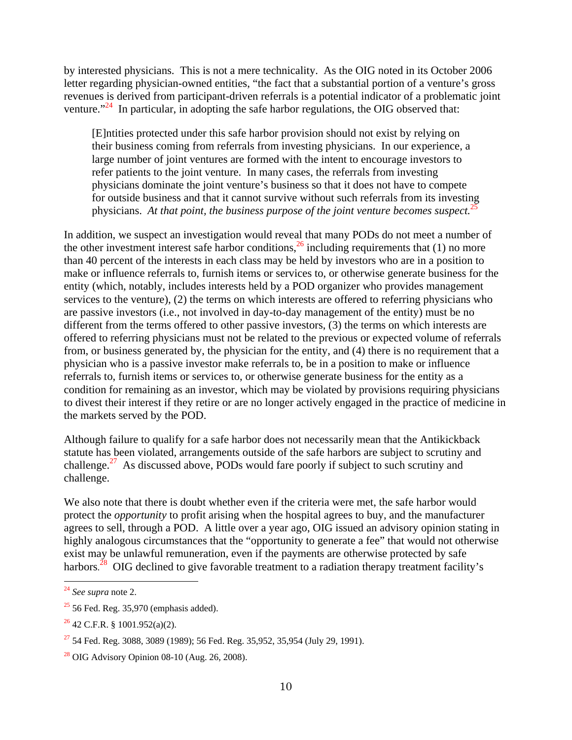by interested physicians. This is not a mere technicality. As the OIG noted in its October 2006 letter regarding physician-owned entities, "the fact that a substantial portion of a venture's gross revenues is derived from participant-driven referrals is a potential indicator of a problematic joint venture."<sup>24</sup> In particular, in adopting the safe harbor regulations, the OIG observed that:

[E]ntities protected under this safe harbor provision should not exist by relying on their business coming from referrals from investing physicians. In our experience, a large number of joint ventures are formed with the intent to encourage investors to refer patients to the joint venture. In many cases, the referrals from investing physicians dominate the joint venture's business so that it does not have to compete for outside business and that it cannot survive without such referrals from its investing physicians. At that point, the business purpose of the joint venture becomes suspect.<sup>2</sup>

In addition, we suspect an investigation would reveal that many PODs do not meet a number of the other investment interest safe harbor conditions,  $^{26}$  including requirements that (1) no more than 40 percent of the interests in each class may be held by investors who are in a position to make or influence referrals to, furnish items or services to, or otherwise generate business for the entity (which, notably, includes interests held by a POD organizer who provides management services to the venture), (2) the terms on which interests are offered to referring physicians who are passive investors (i.e., not involved in day-to-day management of the entity) must be no different from the terms offered to other passive investors, (3) the terms on which interests are offered to referring physicians must not be related to the previous or expected volume of referrals from, or business generated by, the physician for the entity, and (4) there is no requirement that a physician who is a passive investor make referrals to, be in a position to make or influence referrals to, furnish items or services to, or otherwise generate business for the entity as a condition for remaining as an investor, which may be violated by provisions requiring physicians to divest their interest if they retire or are no longer actively engaged in the practice of medicine in the markets served by the POD.

Although failure to qualify for a safe harbor does not necessarily mean that the Antikickback statute has been violated, arrangements outside of the safe harbors are subject to scrutiny and challenge.<sup>27</sup> As discussed above, PODs would fare poorly if subject to such scrutiny and challenge.

We also note that there is doubt whether even if the criteria were met, the safe harbor would protect the *opportunity* to profit arising when the hospital agrees to buy, and the manufacturer agrees to sell, through a POD. A little over a year ago, OIG issued an advisory opinion stating in highly analogous circumstances that the "opportunity to generate a fee" that would not otherwise exist may be unlawful remuneration, even if the payments are otherwise protected by safe harbors.<sup>28</sup> OIG declined to give favorable treatment to a radiation therapy treatment facility's

<sup>24</sup> *See supra* note 2.

 $25$  56 Fed. Reg. 35,970 (emphasis added).

 $26$  42 C.F.R. § 1001.952(a)(2).

 $27$  54 Fed. Reg. 3088, 3089 (1989); 56 Fed. Reg. 35,952, 35,954 (July 29, 1991).

 $28$  OIG Advisory Opinion 08-10 (Aug. 26, 2008).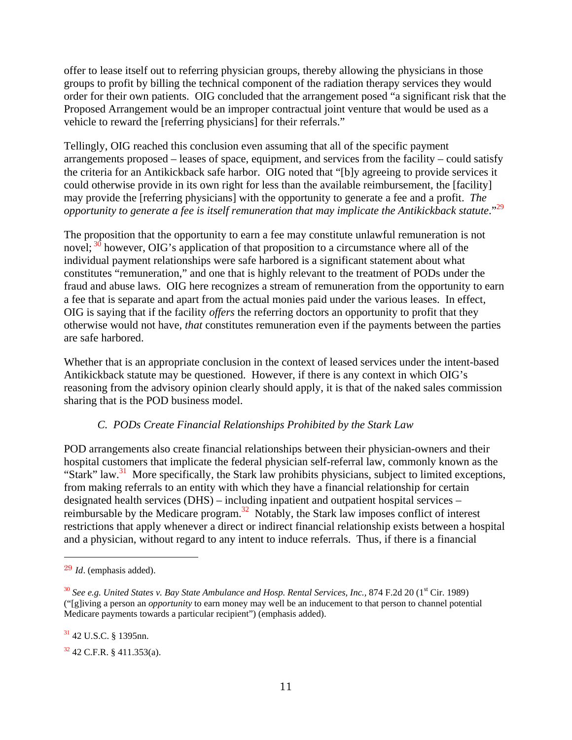offer to lease itself out to referring physician groups, thereby allowing the physicians in those groups to profit by billing the technical component of the radiation therapy services they would order for their own patients. OIG concluded that the arrangement posed "a significant risk that the Proposed Arrangement would be an improper contractual joint venture that would be used as a vehicle to reward the [referring physicians] for their referrals."

Tellingly, OIG reached this conclusion even assuming that all of the specific payment arrangements proposed – leases of space, equipment, and services from the facility – could satisfy the criteria for an Antikickback safe harbor. OIG noted that "[b]y agreeing to provide services it could otherwise provide in its own right for less than the available reimbursement, the [facility] may provide the [referring physicians] with the opportunity to generate a fee and a profit. *The opportunity to generate a fee is itself remuneration that may implicate the Antikickback statute.*"<sup>29</sup>

The proposition that the opportunity to earn a fee may constitute unlawful remuneration is not novel;  $30$  however, OIG's application of that proposition to a circumstance where all of the individual payment relationships were safe harbored is a significant statement about what constitutes "remuneration," and one that is highly relevant to the treatment of PODs under the fraud and abuse laws. OIG here recognizes a stream of remuneration from the opportunity to earn a fee that is separate and apart from the actual monies paid under the various leases. In effect, OIG is saying that if the facility *offers* the referring doctors an opportunity to profit that they otherwise would not have, *that* constitutes remuneration even if the payments between the parties are safe harbored.

Whether that is an appropriate conclusion in the context of leased services under the intent-based Antikickback statute may be questioned. However, if there is any context in which OIG's reasoning from the advisory opinion clearly should apply, it is that of the naked sales commission sharing that is the POD business model.

## *C. PODs Create Financial Relationships Prohibited by the Stark Law*

POD arrangements also create financial relationships between their physician-owners and their hospital customers that implicate the federal physician self-referral law, commonly known as the "Stark" law.<sup>31</sup> More specifically, the Stark law prohibits physicians, subject to limited exceptions, from making referrals to an entity with which they have a financial relationship for certain designated health services (DHS) – including inpatient and outpatient hospital services – reimbursable by the Medicare program.32 Notably, the Stark law imposes conflict of interest restrictions that apply whenever a direct or indirect financial relationship exists between a hospital and a physician, without regard to any intent to induce referrals. Thus, if there is a financial

l

 $31$  42 U.S.C. § 1395nn.

 $32$  42 C.F.R. § 411.353(a).

<sup>29</sup> *Id*. (emphasis added).

<sup>&</sup>lt;sup>30</sup> See e.g. United States v. Bay State Ambulance and Hosp. Rental Services, Inc., 874 F.2d 20 (1<sup>st</sup> Cir. 1989) ("[g]iving a person an *opportunity* to earn money may well be an inducement to that person to channel potential Medicare payments towards a particular recipient") (emphasis added).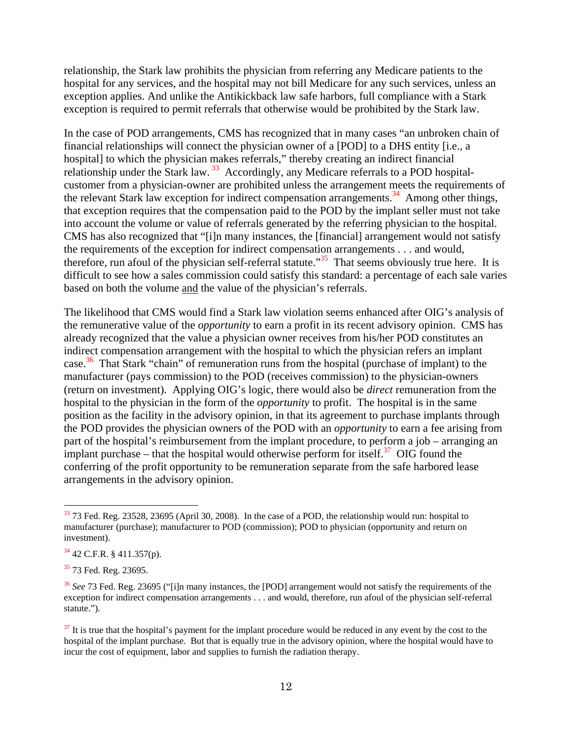relationship, the Stark law prohibits the physician from referring any Medicare patients to the hospital for any services, and the hospital may not bill Medicare for any such services, unless an exception applies. And unlike the Antikickback law safe harbors, full compliance with a Stark exception is required to permit referrals that otherwise would be prohibited by the Stark law.

In the case of POD arrangements, CMS has recognized that in many cases "an unbroken chain of financial relationships will connect the physician owner of a [POD] to a DHS entity [i.e., a hospital] to which the physician makes referrals," thereby creating an indirect financial relationship under the Stark law.<sup>33</sup> Accordingly, any Medicare referrals to a POD hospitalcustomer from a physician-owner are prohibited unless the arrangement meets the requirements of the relevant Stark law exception for indirect compensation arrangements.<sup>34</sup> Among other things, that exception requires that the compensation paid to the POD by the implant seller must not take into account the volume or value of referrals generated by the referring physician to the hospital. CMS has also recognized that "[i]n many instances, the [financial] arrangement would not satisfy the requirements of the exception for indirect compensation arrangements . . . and would, therefore, run afoul of the physician self-referral statute."<sup>35</sup> That seems obviously true here. It is difficult to see how a sales commission could satisfy this standard: a percentage of each sale varies based on both the volume and the value of the physician's referrals.

The likelihood that CMS would find a Stark law violation seems enhanced after OIG's analysis of the remunerative value of the *opportunity* to earn a profit in its recent advisory opinion. CMS has already recognized that the value a physician owner receives from his/her POD constitutes an indirect compensation arrangement with the hospital to which the physician refers an implant case.<sup>36</sup> That Stark "chain" of remuneration runs from the hospital (purchase of implant) to the manufacturer (pays commission) to the POD (receives commission) to the physician-owners (return on investment). Applying OIG's logic, there would also be *direct* remuneration from the hospital to the physician in the form of the *opportunity* to profit. The hospital is in the same position as the facility in the advisory opinion, in that its agreement to purchase implants through the POD provides the physician owners of the POD with an *opportunity* to earn a fee arising from part of the hospital's reimbursement from the implant procedure, to perform a job – arranging an implant purchase – that the hospital would otherwise perform for itself.<sup>37</sup> OIG found the conferring of the profit opportunity to be remuneration separate from the safe harbored lease arrangements in the advisory opinion.

 $33$  73 Fed. Reg. 23528, 23695 (April 30, 2008). In the case of a POD, the relationship would run: hospital to manufacturer (purchase); manufacturer to POD (commission); POD to physician (opportunity and return on investment).

 $34$  42 C.F.R. § 411.357(p).

<sup>&</sup>lt;sup>35</sup> 73 Fed. Reg. 23695.

<sup>36</sup> *See* 73 Fed. Reg. 23695 ("[i]n many instances, the [POD] arrangement would not satisfy the requirements of the exception for indirect compensation arrangements . . . and would, therefore, run afoul of the physician self-referral statute.").

<sup>&</sup>lt;sup>37</sup> It is true that the hospital's payment for the implant procedure would be reduced in any event by the cost to the hospital of the implant purchase. But that is equally true in the advisory opinion, where the hospital would have to incur the cost of equipment, labor and supplies to furnish the radiation therapy.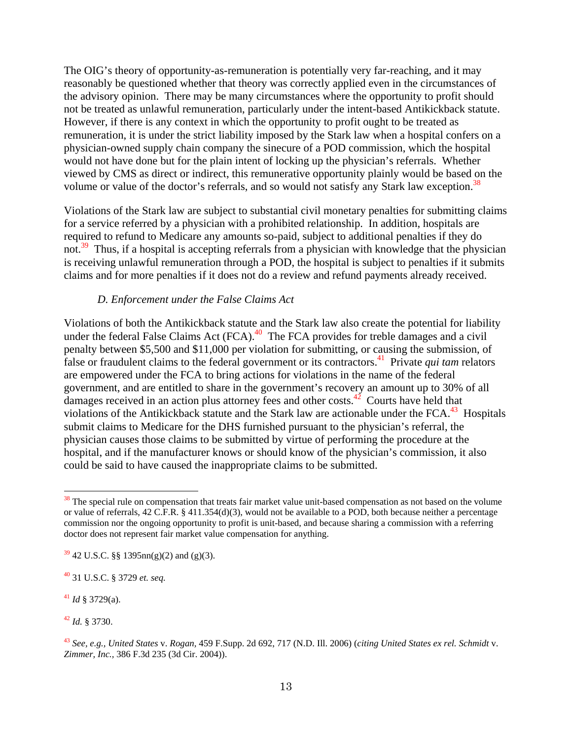The OIG's theory of opportunity-as-remuneration is potentially very far-reaching, and it may reasonably be questioned whether that theory was correctly applied even in the circumstances of the advisory opinion. There may be many circumstances where the opportunity to profit should not be treated as unlawful remuneration, particularly under the intent-based Antikickback statute. However, if there is any context in which the opportunity to profit ought to be treated as remuneration, it is under the strict liability imposed by the Stark law when a hospital confers on a physician-owned supply chain company the sinecure of a POD commission, which the hospital would not have done but for the plain intent of locking up the physician's referrals. Whether viewed by CMS as direct or indirect, this remunerative opportunity plainly would be based on the volume or value of the doctor's referrals, and so would not satisfy any Stark law exception.<sup>38</sup>

Violations of the Stark law are subject to substantial civil monetary penalties for submitting claims for a service referred by a physician with a prohibited relationship. In addition, hospitals are required to refund to Medicare any amounts so-paid, subject to additional penalties if they do not.<sup>39</sup> Thus, if a hospital is accepting referrals from a physician with knowledge that the physician is receiving unlawful remuneration through a POD, the hospital is subject to penalties if it submits claims and for more penalties if it does not do a review and refund payments already received.

#### *D. Enforcement under the False Claims Act*

Violations of both the Antikickback statute and the Stark law also create the potential for liability under the federal False Claims Act  $(FCA)$ .<sup>40</sup> The FCA provides for treble damages and a civil penalty between \$5,500 and \$11,000 per violation for submitting, or causing the submission, of false or fraudulent claims to the federal government or its contractors.<sup>41</sup> Private *qui tam* relators are empowered under the FCA to bring actions for violations in the name of the federal government, and are entitled to share in the government's recovery an amount up to 30% of all damages received in an action plus attorney fees and other costs. $42^{\circ}$  Courts have held that violations of the Antikickback statute and the Stark law are actionable under the  $FCA$ .<sup>43</sup> Hospitals submit claims to Medicare for the DHS furnished pursuant to the physician's referral, the physician causes those claims to be submitted by virtue of performing the procedure at the hospital, and if the manufacturer knows or should know of the physician's commission, it also could be said to have caused the inappropriate claims to be submitted.

<sup>41</sup> *Id* § 3729(a).

l

<sup>42</sup> *Id.* § 3730.

<sup>&</sup>lt;sup>38</sup> The special rule on compensation that treats fair market value unit-based compensation as not based on the volume or value of referrals, 42 C.F.R. § 411.354(d)(3), would not be available to a POD, both because neither a percentage commission nor the ongoing opportunity to profit is unit-based, and because sharing a commission with a referring doctor does not represent fair market value compensation for anything.

 $39\overline{9}$  42 U.S.C. §§ 1395nn(g)(2) and (g)(3).

<sup>40 31</sup> U.S.C. § 3729 *et. seq.* 

<sup>43</sup> *See, e.g., United States* v. *Rogan,* 459 F.Supp. 2d 692, 717 (N.D. Ill. 2006) (*citing United States ex rel. Schmidt* v. *Zimmer, Inc.,* 386 F.3d 235 (3d Cir. 2004)).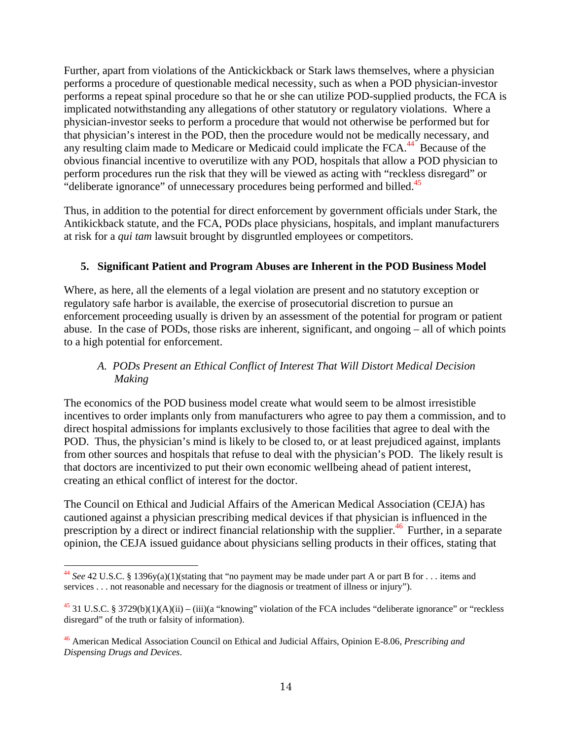Further, apart from violations of the Antickickback or Stark laws themselves, where a physician performs a procedure of questionable medical necessity, such as when a POD physician-investor performs a repeat spinal procedure so that he or she can utilize POD-supplied products, the FCA is implicated notwithstanding any allegations of other statutory or regulatory violations. Where a physician-investor seeks to perform a procedure that would not otherwise be performed but for that physician's interest in the POD, then the procedure would not be medically necessary, and any resulting claim made to Medicare or Medicaid could implicate the FCA.<sup>44</sup> Because of the obvious financial incentive to overutilize with any POD, hospitals that allow a POD physician to perform procedures run the risk that they will be viewed as acting with "reckless disregard" or "deliberate ignorance" of unnecessary procedures being performed and billed.<sup>45</sup>

Thus, in addition to the potential for direct enforcement by government officials under Stark, the Antikickback statute, and the FCA, PODs place physicians, hospitals, and implant manufacturers at risk for a *qui tam* lawsuit brought by disgruntled employees or competitors.

## **5. Significant Patient and Program Abuses are Inherent in the POD Business Model**

Where, as here, all the elements of a legal violation are present and no statutory exception or regulatory safe harbor is available, the exercise of prosecutorial discretion to pursue an enforcement proceeding usually is driven by an assessment of the potential for program or patient abuse. In the case of PODs, those risks are inherent, significant, and ongoing – all of which points to a high potential for enforcement.

## *A. PODs Present an Ethical Conflict of Interest That Will Distort Medical Decision Making*

The economics of the POD business model create what would seem to be almost irresistible incentives to order implants only from manufacturers who agree to pay them a commission, and to direct hospital admissions for implants exclusively to those facilities that agree to deal with the POD. Thus, the physician's mind is likely to be closed to, or at least prejudiced against, implants from other sources and hospitals that refuse to deal with the physician's POD. The likely result is that doctors are incentivized to put their own economic wellbeing ahead of patient interest, creating an ethical conflict of interest for the doctor.

The Council on Ethical and Judicial Affairs of the American Medical Association (CEJA) has cautioned against a physician prescribing medical devices if that physician is influenced in the prescription by a direct or indirect financial relationship with the supplier.<sup>46</sup> Further, in a separate opinion, the CEJA issued guidance about physicians selling products in their offices, stating that

<sup>44</sup> *See* 42 U.S.C. § 1396y(a)(1)(stating that "no payment may be made under part A or part B for . . . items and services . . . not reasonable and necessary for the diagnosis or treatment of illness or injury").

<sup>&</sup>lt;sup>45</sup> 31 U.S.C. § 3729(b)(1)(A)(ii) – (iii)(a "knowing" violation of the FCA includes "deliberate ignorance" or "reckless" disregard" of the truth or falsity of information).

<sup>46</sup> American Medical Association Council on Ethical and Judicial Affairs, Opinion E-8.06, *Prescribing and Dispensing Drugs and Devices*.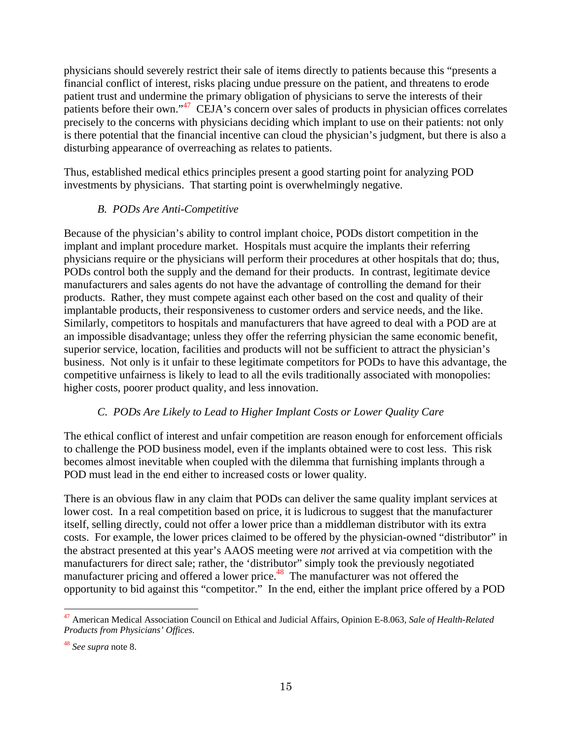physicians should severely restrict their sale of items directly to patients because this "presents a financial conflict of interest, risks placing undue pressure on the patient, and threatens to erode patient trust and undermine the primary obligation of physicians to serve the interests of their patients before their own."47 CEJA's concern over sales of products in physician offices correlates precisely to the concerns with physicians deciding which implant to use on their patients: not only is there potential that the financial incentive can cloud the physician's judgment, but there is also a disturbing appearance of overreaching as relates to patients.

Thus, established medical ethics principles present a good starting point for analyzing POD investments by physicians. That starting point is overwhelmingly negative.

## *B. PODs Are Anti-Competitive*

Because of the physician's ability to control implant choice, PODs distort competition in the implant and implant procedure market. Hospitals must acquire the implants their referring physicians require or the physicians will perform their procedures at other hospitals that do; thus, PODs control both the supply and the demand for their products. In contrast, legitimate device manufacturers and sales agents do not have the advantage of controlling the demand for their products. Rather, they must compete against each other based on the cost and quality of their implantable products, their responsiveness to customer orders and service needs, and the like. Similarly, competitors to hospitals and manufacturers that have agreed to deal with a POD are at an impossible disadvantage; unless they offer the referring physician the same economic benefit, superior service, location, facilities and products will not be sufficient to attract the physician's business. Not only is it unfair to these legitimate competitors for PODs to have this advantage, the competitive unfairness is likely to lead to all the evils traditionally associated with monopolies: higher costs, poorer product quality, and less innovation.

## *C. PODs Are Likely to Lead to Higher Implant Costs or Lower Quality Care*

The ethical conflict of interest and unfair competition are reason enough for enforcement officials to challenge the POD business model, even if the implants obtained were to cost less. This risk becomes almost inevitable when coupled with the dilemma that furnishing implants through a POD must lead in the end either to increased costs or lower quality.

There is an obvious flaw in any claim that PODs can deliver the same quality implant services at lower cost. In a real competition based on price, it is ludicrous to suggest that the manufacturer itself, selling directly, could not offer a lower price than a middleman distributor with its extra costs. For example, the lower prices claimed to be offered by the physician-owned "distributor" in the abstract presented at this year's AAOS meeting were *not* arrived at via competition with the manufacturers for direct sale; rather, the 'distributor" simply took the previously negotiated manufacturers for energy same, cannot, the manufacturer was not offered the manufacturer pricing and offered a lower price.<sup>48</sup> The manufacturer was not offered the opportunity to bid against this "competitor." In the end, either the implant price offered by a POD

<sup>47</sup> American Medical Association Council on Ethical and Judicial Affairs, Opinion E-8.063, *Sale of Health-Related Products from Physicians' Offices*.

<sup>48</sup> *See supra* note 8.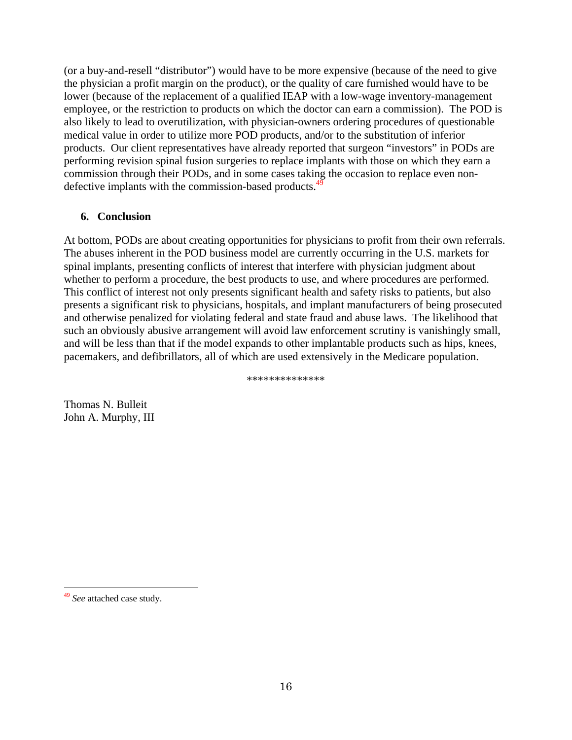(or a buy-and-resell "distributor") would have to be more expensive (because of the need to give the physician a profit margin on the product), or the quality of care furnished would have to be lower (because of the replacement of a qualified IEAP with a low-wage inventory-management employee, or the restriction to products on which the doctor can earn a commission). The POD is also likely to lead to overutilization, with physician-owners ordering procedures of questionable medical value in order to utilize more POD products, and/or to the substitution of inferior products. Our client representatives have already reported that surgeon "investors" in PODs are performing revision spinal fusion surgeries to replace implants with those on which they earn a commission through their PODs, and in some cases taking the occasion to replace even nondefective implants with the commission-based products.<sup>4</sup>

## **6. Conclusion**

At bottom, PODs are about creating opportunities for physicians to profit from their own referrals. The abuses inherent in the POD business model are currently occurring in the U.S. markets for spinal implants, presenting conflicts of interest that interfere with physician judgment about whether to perform a procedure, the best products to use, and where procedures are performed. This conflict of interest not only presents significant health and safety risks to patients, but also presents a significant risk to physicians, hospitals, and implant manufacturers of being prosecuted and otherwise penalized for violating federal and state fraud and abuse laws. The likelihood that such an obviously abusive arrangement will avoid law enforcement scrutiny is vanishingly small, and will be less than that if the model expands to other implantable products such as hips, knees, pacemakers, and defibrillators, all of which are used extensively in the Medicare population.

\*\*\*\*\*\*\*\*\*\*\*\*\*\*

Thomas N. Bulleit John A. Murphy, III

 <sup>49</sup> *See* attached case study.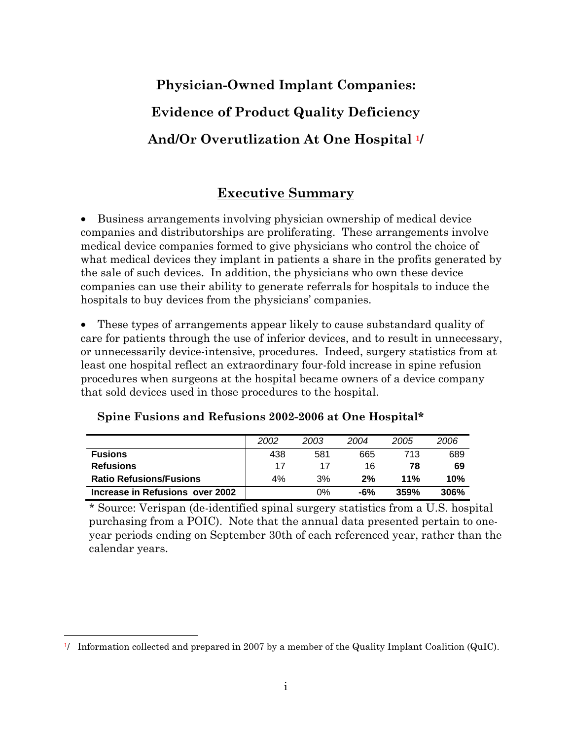# **Physician-Owned Implant Companies: Evidence of Product Quality Deficiency And/Or Overutlization At One Hospital 1/**

# **Executive Summary**

• Business arrangements involving physician ownership of medical device companies and distributorships are proliferating. These arrangements involve medical device companies formed to give physicians who control the choice of what medical devices they implant in patients a share in the profits generated by the sale of such devices. In addition, the physicians who own these device companies can use their ability to generate referrals for hospitals to induce the hospitals to buy devices from the physicians' companies.

• These types of arrangements appear likely to cause substandard quality of care for patients through the use of inferior devices, and to result in unnecessary, or unnecessarily device-intensive, procedures. Indeed, surgery statistics from at least one hospital reflect an extraordinary four-fold increase in spine refusion procedures when surgeons at the hospital became owners of a device company that sold devices used in those procedures to the hospital.

|                                 | 2002 | 2003 | 2004 | 2005 | 2006 |
|---------------------------------|------|------|------|------|------|
| <b>Fusions</b>                  | 438  | 581  | 665  | 713  | 689  |
| <b>Refusions</b>                | 17   | 17   | 16   | 78   | 69   |
| <b>Ratio Refusions/Fusions</b>  | 4%   | 3%   | 2%   | 11%  | 10%  |
| Increase in Refusions over 2002 |      | 0%   | -6%  | 359% | 306% |

**Spine Fusions and Refusions 2002-2006 at One Hospital\*** 

\* Source: Verispan (de-identified spinal surgery statistics from a U.S. hospital purchasing from a POIC). Note that the annual data presented pertain to oneyear periods ending on September 30th of each referenced year, rather than the calendar years.

l 1/ Information collected and prepared in 2007 by a member of the Quality Implant Coalition (QuIC).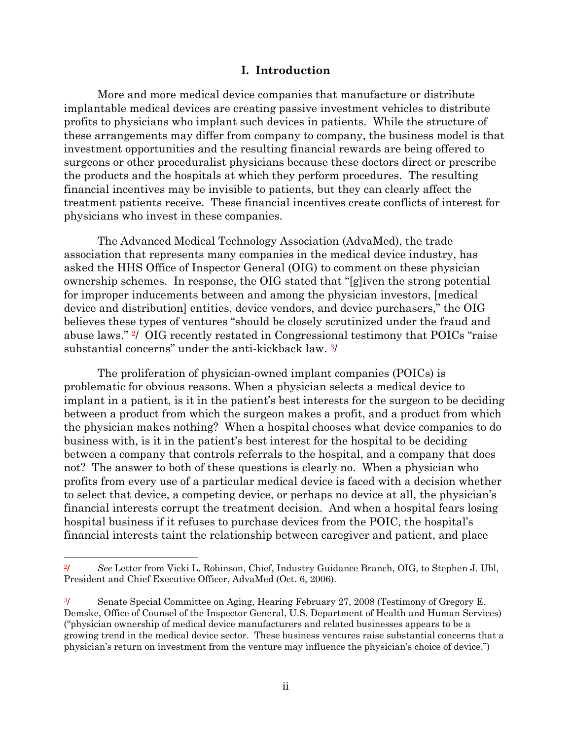#### **I. Introduction**

More and more medical device companies that manufacture or distribute implantable medical devices are creating passive investment vehicles to distribute profits to physicians who implant such devices in patients. While the structure of these arrangements may differ from company to company, the business model is that investment opportunities and the resulting financial rewards are being offered to surgeons or other proceduralist physicians because these doctors direct or prescribe the products and the hospitals at which they perform procedures. The resulting financial incentives may be invisible to patients, but they can clearly affect the treatment patients receive. These financial incentives create conflicts of interest for physicians who invest in these companies.

The Advanced Medical Technology Association (AdvaMed), the trade association that represents many companies in the medical device industry, has asked the HHS Office of Inspector General (OIG) to comment on these physician ownership schemes. In response, the OIG stated that "[g]iven the strong potential for improper inducements between and among the physician investors, [medical device and distribution] entities, device vendors, and device purchasers," the OIG believes these types of ventures "should be closely scrutinized under the fraud and abuse laws." 2/ OIG recently restated in Congressional testimony that POICs "raise substantial concerns" under the anti-kickback law. 3/

The proliferation of physician-owned implant companies (POICs) is problematic for obvious reasons. When a physician selects a medical device to implant in a patient, is it in the patient's best interests for the surgeon to be deciding between a product from which the surgeon makes a profit, and a product from which the physician makes nothing? When a hospital chooses what device companies to do business with, is it in the patient's best interest for the hospital to be deciding between a company that controls referrals to the hospital, and a company that does not? The answer to both of these questions is clearly no. When a physician who profits from every use of a particular medical device is faced with a decision whether to select that device, a competing device, or perhaps no device at all, the physician's financial interests corrupt the treatment decision. And when a hospital fears losing hospital business if it refuses to purchase devices from the POIC, the hospital's financial interests taint the relationship between caregiver and patient, and place

<sup>2/</sup> *See* Letter from Vicki L. Robinson, Chief, Industry Guidance Branch, OIG, to Stephen J. Ubl, President and Chief Executive Officer, AdvaMed (Oct. 6, 2006).

<sup>&</sup>lt;sup>3/</sup> Senate Special Committee on Aging, Hearing February 27, 2008 (Testimony of Gregory E. Demske, Office of Counsel of the Inspector General, U.S. Department of Health and Human Services) ("physician ownership of medical device manufacturers and related businesses appears to be a growing trend in the medical device sector. These business ventures raise substantial concerns that a physician's return on investment from the venture may influence the physician's choice of device.")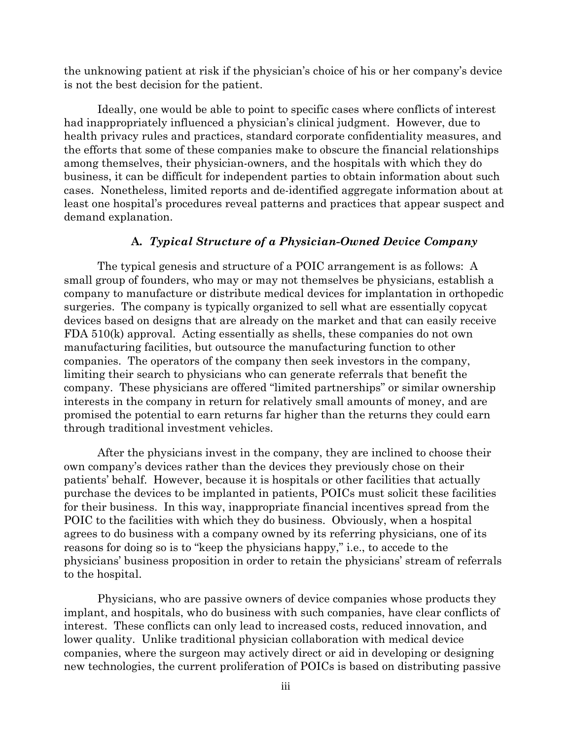the unknowing patient at risk if the physician's choice of his or her company's device is not the best decision for the patient.

Ideally, one would be able to point to specific cases where conflicts of interest had inappropriately influenced a physician's clinical judgment. However, due to health privacy rules and practices, standard corporate confidentiality measures, and the efforts that some of these companies make to obscure the financial relationships among themselves, their physician-owners, and the hospitals with which they do business, it can be difficult for independent parties to obtain information about such cases. Nonetheless, limited reports and de-identified aggregate information about at least one hospital's procedures reveal patterns and practices that appear suspect and demand explanation.

#### **A***. Typical Structure of a Physician-Owned Device Company*

The typical genesis and structure of a POIC arrangement is as follows: A small group of founders, who may or may not themselves be physicians, establish a company to manufacture or distribute medical devices for implantation in orthopedic surgeries. The company is typically organized to sell what are essentially copycat devices based on designs that are already on the market and that can easily receive FDA 510(k) approval. Acting essentially as shells, these companies do not own manufacturing facilities, but outsource the manufacturing function to other companies. The operators of the company then seek investors in the company, limiting their search to physicians who can generate referrals that benefit the company. These physicians are offered "limited partnerships" or similar ownership interests in the company in return for relatively small amounts of money, and are promised the potential to earn returns far higher than the returns they could earn through traditional investment vehicles.

After the physicians invest in the company, they are inclined to choose their own company's devices rather than the devices they previously chose on their patients' behalf. However, because it is hospitals or other facilities that actually purchase the devices to be implanted in patients, POICs must solicit these facilities for their business. In this way, inappropriate financial incentives spread from the POIC to the facilities with which they do business. Obviously, when a hospital agrees to do business with a company owned by its referring physicians, one of its reasons for doing so is to "keep the physicians happy," i.e., to accede to the physicians' business proposition in order to retain the physicians' stream of referrals to the hospital.

Physicians, who are passive owners of device companies whose products they implant, and hospitals, who do business with such companies, have clear conflicts of interest. These conflicts can only lead to increased costs, reduced innovation, and lower quality. Unlike traditional physician collaboration with medical device companies, where the surgeon may actively direct or aid in developing or designing new technologies, the current proliferation of POICs is based on distributing passive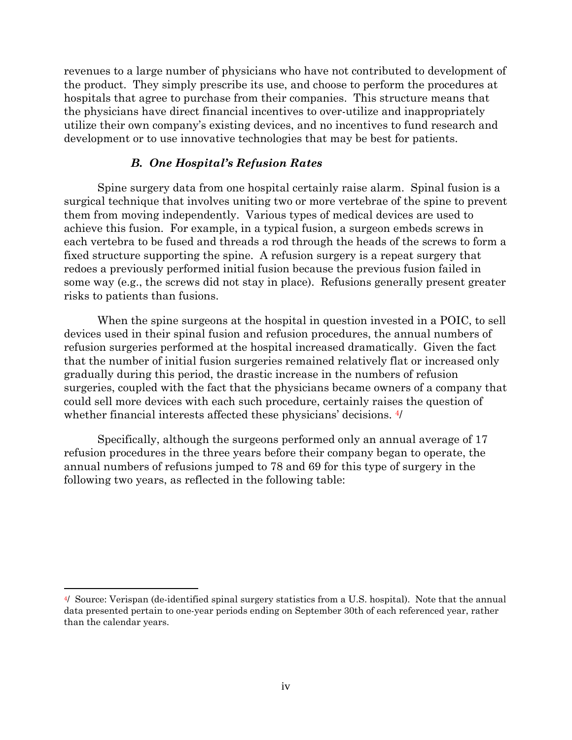revenues to a large number of physicians who have not contributed to development of the product. They simply prescribe its use, and choose to perform the procedures at hospitals that agree to purchase from their companies. This structure means that the physicians have direct financial incentives to over-utilize and inappropriately utilize their own company's existing devices, and no incentives to fund research and development or to use innovative technologies that may be best for patients.

#### *B. One Hospital's Refusion Rates*

Spine surgery data from one hospital certainly raise alarm. Spinal fusion is a surgical technique that involves uniting two or more vertebrae of the spine to prevent them from moving independently. Various types of medical devices are used to achieve this fusion. For example, in a typical fusion, a surgeon embeds screws in each vertebra to be fused and threads a rod through the heads of the screws to form a fixed structure supporting the spine. A refusion surgery is a repeat surgery that redoes a previously performed initial fusion because the previous fusion failed in some way (e.g., the screws did not stay in place). Refusions generally present greater risks to patients than fusions.

When the spine surgeons at the hospital in question invested in a POIC, to sell devices used in their spinal fusion and refusion procedures, the annual numbers of refusion surgeries performed at the hospital increased dramatically. Given the fact that the number of initial fusion surgeries remained relatively flat or increased only gradually during this period, the drastic increase in the numbers of refusion surgeries, coupled with the fact that the physicians became owners of a company that could sell more devices with each such procedure, certainly raises the question of whether financial interests affected these physicians' decisions.  $\frac{4}{1}$ 

Specifically, although the surgeons performed only an annual average of 17 refusion procedures in the three years before their company began to operate, the annual numbers of refusions jumped to 78 and 69 for this type of surgery in the following two years, as reflected in the following table:

<sup>4/</sup> Source: Verispan (de-identified spinal surgery statistics from a U.S. hospital). Note that the annual data presented pertain to one-year periods ending on September 30th of each referenced year, rather than the calendar years.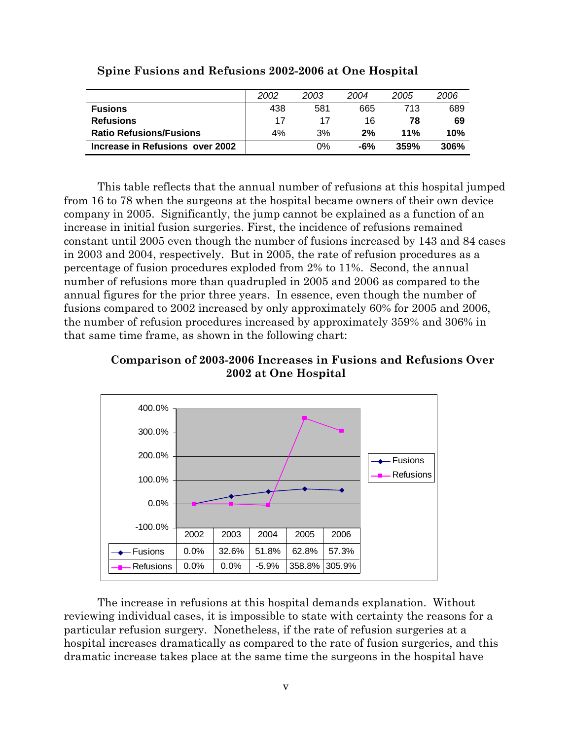|                                 | 2002 | 2003 | 2004 | 2005 | 2006        |
|---------------------------------|------|------|------|------|-------------|
| <b>Fusions</b>                  | 438  | 581  | 665  | 713  | 689         |
| <b>Refusions</b>                | 17   | 17   | 16   | 78   | 69          |
| <b>Ratio Refusions/Fusions</b>  | 4%   | 3%   | 2%   | 11%  | 10%         |
| Increase in Refusions over 2002 |      | 0%   | -6%  | 359% | <b>306%</b> |

**Spine Fusions and Refusions 2002-2006 at One Hospital** 

This table reflects that the annual number of refusions at this hospital jumped from 16 to 78 when the surgeons at the hospital became owners of their own device company in 2005. Significantly, the jump cannot be explained as a function of an increase in initial fusion surgeries. First, the incidence of refusions remained constant until 2005 even though the number of fusions increased by 143 and 84 cases in 2003 and 2004, respectively. But in 2005, the rate of refusion procedures as a percentage of fusion procedures exploded from 2% to 11%. Second, the annual number of refusions more than quadrupled in 2005 and 2006 as compared to the annual figures for the prior three years. In essence, even though the number of fusions compared to 2002 increased by only approximately 60% for 2005 and 2006, the number of refusion procedures increased by approximately 359% and 306% in that same time frame, as shown in the following chart:

**Comparison of 2003-2006 Increases in Fusions and Refusions Over 2002 at One Hospital** 



The increase in refusions at this hospital demands explanation. Without reviewing individual cases, it is impossible to state with certainty the reasons for a particular refusion surgery. Nonetheless, if the rate of refusion surgeries at a hospital increases dramatically as compared to the rate of fusion surgeries, and this dramatic increase takes place at the same time the surgeons in the hospital have